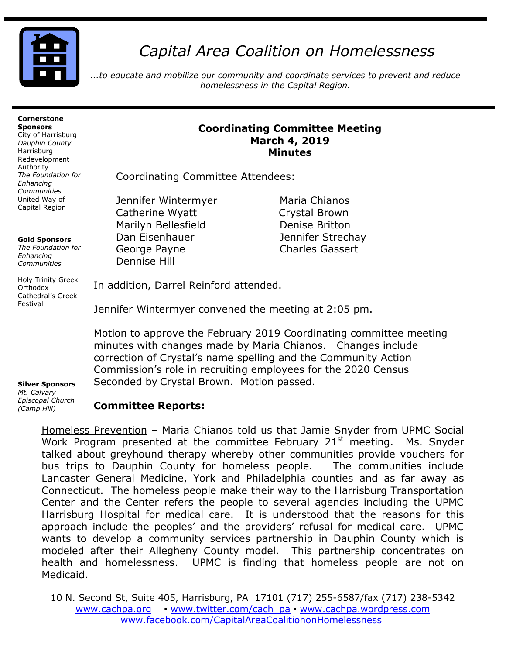

# *Capital Area Coalition on Homelessness*

*...to educate and mobilize our community and coordinate services to prevent and reduce homelessness in the Capital Region.*

#### **Cornerstone Sponsors**

City of Harrisburg *Dauphin County* Harrisburg Redevelopment Authority *The Foundation for Enhancing Communities* United Way of Capital Region

### **Gold Sponsors**

*The Foundation for Enhancing Communities*

Holy Trinity Greek Orthodox Cathedral's Greek Festival

## **Coordinating Committee Meeting March 4, 2019 Minutes**

Coordinating Committee Attendees:

Jennifer Wintermyer Maria Chianos Catherine Wyatt Crystal Brown Marilyn Bellesfield **Denise Britton** Dan Eisenhauer Jennifer Strechay George Payne **Charles Gassert** Dennise Hill

In addition, Darrel Reinford attended.

Jennifer Wintermyer convened the meeting at 2:05 pm.

Motion to approve the February 2019 Coordinating committee meeting minutes with changes made by Maria Chianos. Changes include correction of Crystal's name spelling and the Community Action Commission's role in recruiting employees for the 2020 Census Seconded by Crystal Brown. Motion passed.

#### **Silver Sponsors**  *Mt. Calvary Episcopal Church (Camp Hill)*

## **Committee Reports:**

Homeless Prevention – Maria Chianos told us that Jamie Snyder from UPMC Social Work Program presented at the committee February  $21<sup>st</sup>$  meeting. Ms. Snyder talked about greyhound therapy whereby other communities provide vouchers for bus trips to Dauphin County for homeless people. The communities include Lancaster General Medicine, York and Philadelphia counties and as far away as Connecticut. The homeless people make their way to the Harrisburg Transportation Center and the Center refers the people to several agencies including the UPMC Harrisburg Hospital for medical care. It is understood that the reasons for this approach include the peoples' and the providers' refusal for medical care. UPMC wants to develop a community services partnership in Dauphin County which is modeled after their Allegheny County model. This partnership concentrates on health and homelessness. UPMC is finding that homeless people are not on Medicaid.

10 N. Second St, Suite 405, Harrisburg, PA 17101 (717) 255-6587/fax (717) 238-5342 [www.cachpa.org](http://www.cachpa.org/) • [www.twitter.com/cach\\_pa](http://www.twitter.com/cach_pa) • [www.cachpa.wordpress.com](http://www.cachpa.wordpress.com/) [www.facebook.com/CapitalAreaCoalitiononHomelessness](http://www.facebook.com/CapitalAreaCoalitiononHomelessness)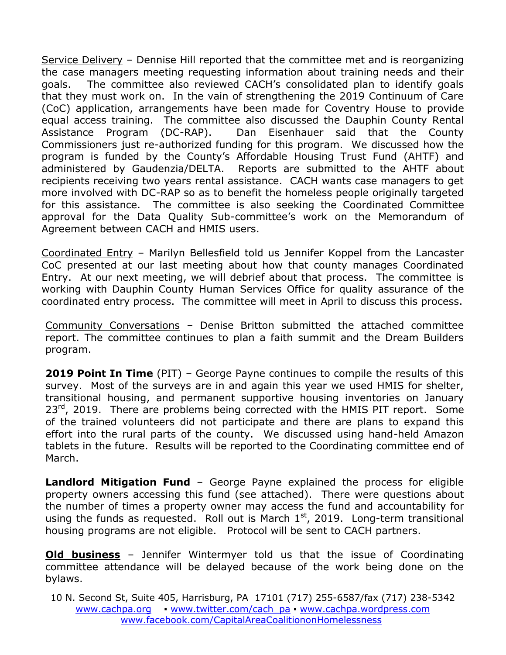Service Delivery – Dennise Hill reported that the committee met and is reorganizing the case managers meeting requesting information about training needs and their goals. The committee also reviewed CACH's consolidated plan to identify goals that they must work on. In the vain of strengthening the 2019 Continuum of Care (CoC) application, arrangements have been made for Coventry House to provide equal access training. The committee also discussed the Dauphin County Rental Assistance Program (DC-RAP). Dan Eisenhauer said that the County Commissioners just re-authorized funding for this program. We discussed how the program is funded by the County's Affordable Housing Trust Fund (AHTF) and administered by Gaudenzia/DELTA. Reports are submitted to the AHTF about recipients receiving two years rental assistance. CACH wants case managers to get more involved with DC-RAP so as to benefit the homeless people originally targeted for this assistance. The committee is also seeking the Coordinated Committee approval for the Data Quality Sub-committee's work on the Memorandum of Agreement between CACH and HMIS users.

Coordinated Entry – Marilyn Bellesfield told us Jennifer Koppel from the Lancaster CoC presented at our last meeting about how that county manages Coordinated Entry. At our next meeting, we will debrief about that process. The committee is working with Dauphin County Human Services Office for quality assurance of the coordinated entry process. The committee will meet in April to discuss this process.

Community Conversations – Denise Britton submitted the attached committee report. The committee continues to plan a faith summit and the Dream Builders program.

**2019 Point In Time** (PIT) – George Payne continues to compile the results of this survey. Most of the surveys are in and again this year we used HMIS for shelter, transitional housing, and permanent supportive housing inventories on January 23<sup>rd</sup>, 2019. There are problems being corrected with the HMIS PIT report. Some of the trained volunteers did not participate and there are plans to expand this effort into the rural parts of the county. We discussed using hand-held Amazon tablets in the future. Results will be reported to the Coordinating committee end of March.

**Landlord Mitigation Fund** – George Payne explained the process for eligible property owners accessing this fund (see attached). There were questions about the number of times a property owner may access the fund and accountability for using the funds as requested. Roll out is March  $1<sup>st</sup>$ , 2019. Long-term transitional housing programs are not eligible. Protocol will be sent to CACH partners.

**Old business** – Jennifer Wintermyer told us that the issue of Coordinating committee attendance will be delayed because of the work being done on the bylaws.

10 N. Second St, Suite 405, Harrisburg, PA 17101 (717) 255-6587/fax (717) 238-5342 [www.cachpa.org](http://www.cachpa.org/) • [www.twitter.com/cach\\_pa](http://www.twitter.com/cach_pa) • [www.cachpa.wordpress.com](http://www.cachpa.wordpress.com/) [www.facebook.com/CapitalAreaCoalitiononHomelessness](http://www.facebook.com/CapitalAreaCoalitiononHomelessness)